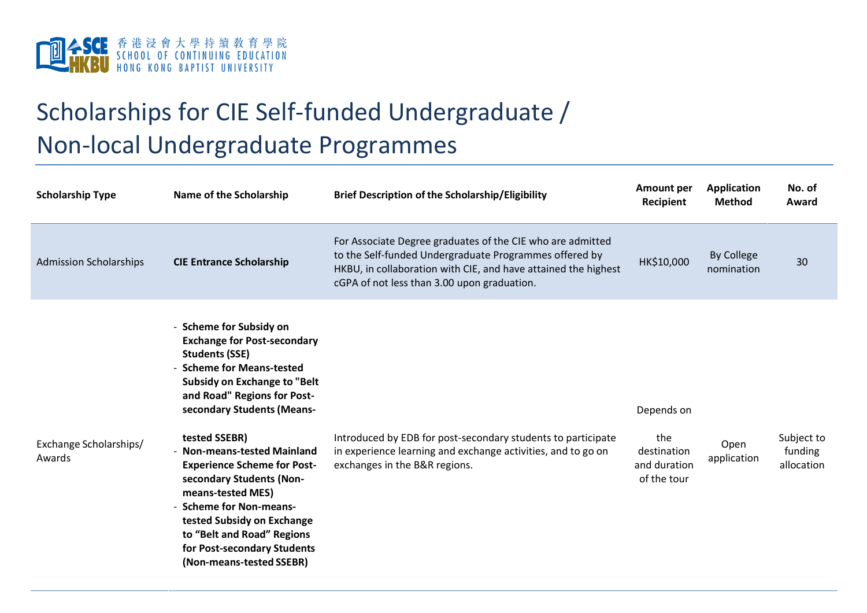

## Scholarships for CIE Self-funded Undergraduate / Non-local Undergraduate Programmes

| <b>Scholarship Type</b>          | Name of the Scholarship                                                                                                                                                                                                                                                                                                                                                                                                                                                                                               | <b>Brief Description of the Scholarship/Eligibility</b>                                                                                                                                                                               | <b>Amount per</b><br>Recipient                                  | <b>Application</b><br><b>Method</b> | No. of<br>Award                     |
|----------------------------------|-----------------------------------------------------------------------------------------------------------------------------------------------------------------------------------------------------------------------------------------------------------------------------------------------------------------------------------------------------------------------------------------------------------------------------------------------------------------------------------------------------------------------|---------------------------------------------------------------------------------------------------------------------------------------------------------------------------------------------------------------------------------------|-----------------------------------------------------------------|-------------------------------------|-------------------------------------|
| <b>Admission Scholarships</b>    | <b>CIE Entrance Scholarship</b>                                                                                                                                                                                                                                                                                                                                                                                                                                                                                       | For Associate Degree graduates of the CIE who are admitted<br>to the Self-funded Undergraduate Programmes offered by<br>HKBU, in collaboration with CIE, and have attained the highest<br>cGPA of not less than 3.00 upon graduation. | HK\$10,000                                                      | <b>By College</b><br>nomination     | 30                                  |
| Exchange Scholarships/<br>Awards | - Scheme for Subsidy on<br><b>Exchange for Post-secondary</b><br><b>Students (SSE)</b><br>- Scheme for Means-tested<br><b>Subsidy on Exchange to "Belt</b><br>and Road" Regions for Post-<br>secondary Students (Means-<br>tested SSEBR)<br><b>Non-means-tested Mainland</b><br><b>Experience Scheme for Post-</b><br>secondary Students (Non-<br>means-tested MES)<br>- Scheme for Non-means-<br>tested Subsidy on Exchange<br>to "Belt and Road" Regions<br>for Post-secondary Students<br>(Non-means-tested SSEBR) | Introduced by EDB for post-secondary students to participate<br>in experience learning and exchange activities, and to go on<br>exchanges in the B&R regions.                                                                         | Depends on<br>the<br>destination<br>and duration<br>of the tour | Open<br>application                 | Subject to<br>funding<br>allocation |